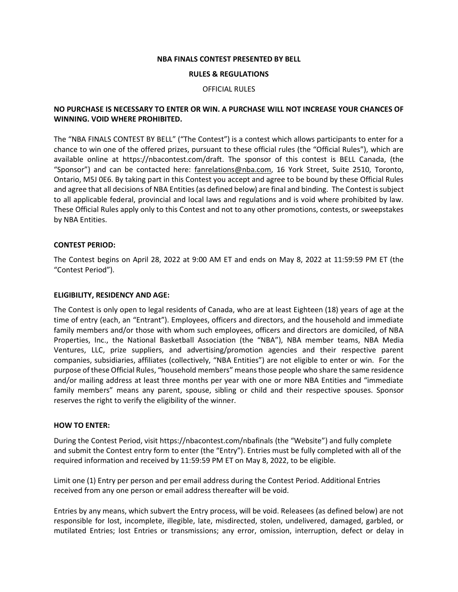#### **NBA FINALS CONTEST PRESENTED BY BELL**

#### **RULES & REGULATIONS**

#### OFFICIAL RULES

# **NO PURCHASE IS NECESSARY TO ENTER OR WIN. A PURCHASE WILL NOT INCREASE YOUR CHANCES OF WINNING. VOID WHERE PROHIBITED.**

The "NBA FINALS CONTEST BY BELL" ("The Contest") is a contest which allows participants to enter for a chance to win one of the offered prizes, pursuant to these official rules (the "Official Rules"), which are available online at https://nbacontest.com/draft. The sponsor of this contest is BELL Canada, (the "Sponsor") and can be contacted here: [fanrelations@nba.com,](mailto:fanrelations@nba.com) 16 York Street, Suite 2510, Toronto, Ontario, M5J 0E6. By taking part in this Contest you accept and agree to be bound by these Official Rules and agree that all decisions of NBA Entities (as defined below) are final and binding. The Contest is subject to all applicable federal, provincial and local laws and regulations and is void where prohibited by law. These Official Rules apply only to this Contest and not to any other promotions, contests, or sweepstakes by NBA Entities.

### **CONTEST PERIOD:**

The Contest begins on April 28, 2022 at 9:00 AM ET and ends on May 8, 2022 at 11:59:59 PM ET (the "Contest Period").

### **ELIGIBILITY, RESIDENCY AND AGE:**

The Contest is only open to legal residents of Canada, who are at least Eighteen (18) years of age at the time of entry (each, an "Entrant"). Employees, officers and directors, and the household and immediate family members and/or those with whom such employees, officers and directors are domiciled, of NBA Properties, Inc., the National Basketball Association (the "NBA"), NBA member teams, NBA Media Ventures, LLC, prize suppliers, and advertising/promotion agencies and their respective parent companies, subsidiaries, affiliates (collectively, "NBA Entities") are not eligible to enter or win. For the purpose of these Official Rules, "household members" means those people who share the same residence and/or mailing address at least three months per year with one or more NBA Entities and "immediate family members" means any parent, spouse, sibling or child and their respective spouses. Sponsor reserves the right to verify the eligibility of the winner.

### **HOW TO ENTER:**

During the Contest Period, visit https://nbacontest.com/nbafinals (the "Website") and fully complete and submit the Contest entry form to enter (the "Entry"). Entries must be fully completed with all of the required information and received by 11:59:59 PM ET on May 8, 2022, to be eligible.

Limit one (1) Entry per person and per email address during the Contest Period. Additional Entries received from any one person or email address thereafter will be void.

Entries by any means, which subvert the Entry process, will be void. Releasees (as defined below) are not responsible for lost, incomplete, illegible, late, misdirected, stolen, undelivered, damaged, garbled, or mutilated Entries; lost Entries or transmissions; any error, omission, interruption, defect or delay in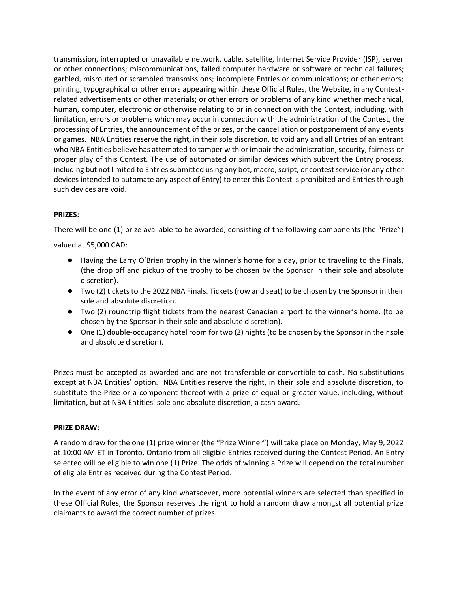transmission, interrupted or unavailable network, cable, satellite, Internet Service Provider (ISP), server or other connections; miscommunications, failed computer hardware or software or technical failures; garbled, misrouted or scrambled transmissions; incomplete Entries or communications; or other errors; printing, typographical or other errors appearing within these Official Rules, the Website, in any Contestrelated advertisements or other materials; or other errors or problems of any kind whether mechanical, human, computer, electronic or otherwise relating to or in connection with the Contest, including, with limitation, errors or problems which may occur in connection with the administration of the Contest, the processing of Entries, the announcement of the prizes, or the cancellation or postponement of any events or games. NBA Entities reserve the right, in their sole discretion, to void any and all Entries of an entrant who NBA Entities believe has attempted to tamper with or impair the administration, security, fairness or proper play of this Contest. The use of automated or similar devices which subvert the Entry process, including but not limited to Entries submitted using any bot, macro, script, or contest service (or any other devices intended to automate any aspect of Entry) to enter this Contest is prohibited and Entries through such devices are void.

# **PRIZES:**

There will be one (1) prize available to be awarded, consisting of the following components (the "Prize")

valued at \$5,000 CAD:

- Having the Larry O'Brien trophy in the winner's home for a day, prior to traveling to the Finals, (the drop off and pickup of the trophy to be chosen by the Sponsor in their sole and absolute discretion).
- Two (2) tickets to the 2022 NBA Finals. Tickets (row and seat) to be chosen by the Sponsor in their sole and absolute discretion.
- Two (2) roundtrip flight tickets from the nearest Canadian airport to the winner's home. (to be chosen by the Sponsor in their sole and absolute discretion).
- One (1) double-occupancy hotel room for two (2) nights (to be chosen by the Sponsor in their sole and absolute discretion).

Prizes must be accepted as awarded and are not transferable or convertible to cash. No substitutions except at NBA Entities' option. NBA Entities reserve the right, in their sole and absolute discretion, to substitute the Prize or a component thereof with a prize of equal or greater value, including, without limitation, but at NBA Entities' sole and absolute discretion, a cash award.

# **PRIZE DRAW:**

A random draw for the one (1) prize winner (the "Prize Winner") will take place on Monday, May 9, 2022 at 10:00 AM ET in Toronto, Ontario from all eligible Entries received during the Contest Period. An Entry selected will be eligible to win one (1) Prize. The odds of winning a Prize will depend on the total number of eligible Entries received during the Contest Period.

In the event of any error of any kind whatsoever, more potential winners are selected than specified in these Official Rules, the Sponsor reserves the right to hold a random draw amongst all potential prize claimants to award the correct number of prizes.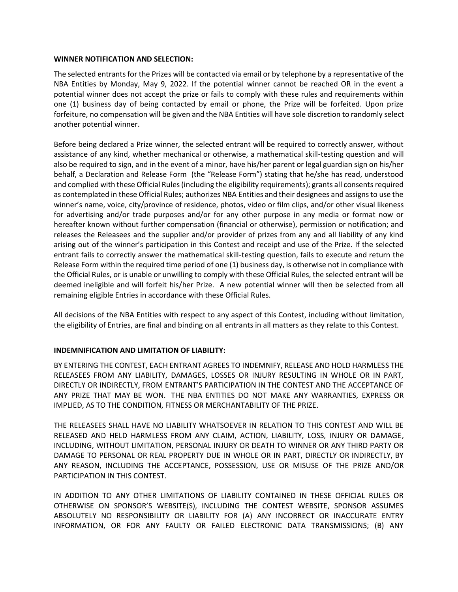### **WINNER NOTIFICATION AND SELECTION:**

The selected entrants for the Prizes will be contacted via email or by telephone by a representative of the NBA Entities by Monday, May 9, 2022. If the potential winner cannot be reached OR in the event a potential winner does not accept the prize or fails to comply with these rules and requirements within one (1) business day of being contacted by email or phone, the Prize will be forfeited. Upon prize forfeiture, no compensation will be given and the NBA Entities will have sole discretion to randomly select another potential winner.

Before being declared a Prize winner, the selected entrant will be required to correctly answer, without assistance of any kind, whether mechanical or otherwise, a mathematical skill-testing question and will also be required to sign, and in the event of a minor, have his/her parent or legal guardian sign on his/her behalf, a Declaration and Release Form (the "Release Form") stating that he/she has read, understood and complied with these Official Rules (including the eligibility requirements); grants all consents required as contemplated in these Official Rules; authorizes NBA Entities and their designees and assigns to use the winner's name, voice, city/province of residence, photos, video or film clips, and/or other visual likeness for advertising and/or trade purposes and/or for any other purpose in any media or format now or hereafter known without further compensation (financial or otherwise), permission or notification; and releases the Releasees and the supplier and/or provider of prizes from any and all liability of any kind arising out of the winner's participation in this Contest and receipt and use of the Prize. If the selected entrant fails to correctly answer the mathematical skill-testing question, fails to execute and return the Release Form within the required time period of one (1) business day, is otherwise not in compliance with the Official Rules, or is unable or unwilling to comply with these Official Rules, the selected entrant will be deemed ineligible and will forfeit his/her Prize. A new potential winner will then be selected from all remaining eligible Entries in accordance with these Official Rules.

All decisions of the NBA Entities with respect to any aspect of this Contest, including without limitation, the eligibility of Entries, are final and binding on all entrants in all matters as they relate to this Contest.

# **INDEMNIFICATION AND LIMITATION OF LIABILITY:**

BY ENTERING THE CONTEST, EACH ENTRANT AGREES TO INDEMNIFY, RELEASE AND HOLD HARMLESS THE RELEASEES FROM ANY LIABILITY, DAMAGES, LOSSES OR INJURY RESULTING IN WHOLE OR IN PART, DIRECTLY OR INDIRECTLY, FROM ENTRANT'S PARTICIPATION IN THE CONTEST AND THE ACCEPTANCE OF ANY PRIZE THAT MAY BE WON. THE NBA ENTITIES DO NOT MAKE ANY WARRANTIES, EXPRESS OR IMPLIED, AS TO THE CONDITION, FITNESS OR MERCHANTABILITY OF THE PRIZE.

THE RELEASEES SHALL HAVE NO LIABILITY WHATSOEVER IN RELATION TO THIS CONTEST AND WILL BE RELEASED AND HELD HARMLESS FROM ANY CLAIM, ACTION, LIABILITY, LOSS, INJURY OR DAMAGE, INCLUDING, WITHOUT LIMITATION, PERSONAL INJURY OR DEATH TO WINNER OR ANY THIRD PARTY OR DAMAGE TO PERSONAL OR REAL PROPERTY DUE IN WHOLE OR IN PART, DIRECTLY OR INDIRECTLY, BY ANY REASON, INCLUDING THE ACCEPTANCE, POSSESSION, USE OR MISUSE OF THE PRIZE AND/OR PARTICIPATION IN THIS CONTEST.

IN ADDITION TO ANY OTHER LIMITATIONS OF LIABILITY CONTAINED IN THESE OFFICIAL RULES OR OTHERWISE ON SPONSOR'S WEBSITE(S), INCLUDING THE CONTEST WEBSITE, SPONSOR ASSUMES ABSOLUTELY NO RESPONSIBILITY OR LIABILITY FOR (A) ANY INCORRECT OR INACCURATE ENTRY INFORMATION, OR FOR ANY FAULTY OR FAILED ELECTRONIC DATA TRANSMISSIONS; (B) ANY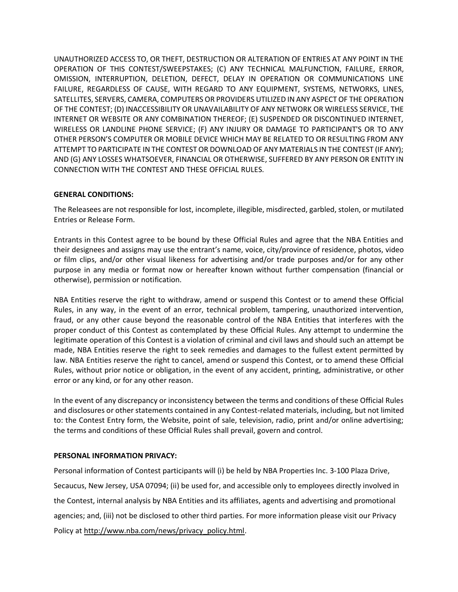UNAUTHORIZED ACCESS TO, OR THEFT, DESTRUCTION OR ALTERATION OF ENTRIES AT ANY POINT IN THE OPERATION OF THIS CONTEST/SWEEPSTAKES; (C) ANY TECHNICAL MALFUNCTION, FAILURE, ERROR, OMISSION, INTERRUPTION, DELETION, DEFECT, DELAY IN OPERATION OR COMMUNICATIONS LINE FAILURE, REGARDLESS OF CAUSE, WITH REGARD TO ANY EQUIPMENT, SYSTEMS, NETWORKS, LINES, SATELLITES, SERVERS, CAMERA, COMPUTERS OR PROVIDERS UTILIZED IN ANY ASPECT OF THE OPERATION OF THE CONTEST; (D) INACCESSIBILITY OR UNAVAILABILITY OF ANY NETWORK OR WIRELESS SERVICE, THE INTERNET OR WEBSITE OR ANY COMBINATION THEREOF; (E) SUSPENDED OR DISCONTINUED INTERNET, WIRELESS OR LANDLINE PHONE SERVICE; (F) ANY INJURY OR DAMAGE TO PARTICIPANT'S OR TO ANY OTHER PERSON'S COMPUTER OR MOBILE DEVICE WHICH MAY BE RELATED TO OR RESULTING FROM ANY ATTEMPT TO PARTICIPATE IN THE CONTEST OR DOWNLOAD OF ANY MATERIALS IN THE CONTEST (IF ANY); AND (G) ANY LOSSES WHATSOEVER, FINANCIAL OR OTHERWISE, SUFFERED BY ANY PERSON OR ENTITY IN CONNECTION WITH THE CONTEST AND THESE OFFICIAL RULES.

# **GENERAL CONDITIONS:**

The Releasees are not responsible for lost, incomplete, illegible, misdirected, garbled, stolen, or mutilated Entries or Release Form.

Entrants in this Contest agree to be bound by these Official Rules and agree that the NBA Entities and their designees and assigns may use the entrant's name, voice, city/province of residence, photos, video or film clips, and/or other visual likeness for advertising and/or trade purposes and/or for any other purpose in any media or format now or hereafter known without further compensation (financial or otherwise), permission or notification.

NBA Entities reserve the right to withdraw, amend or suspend this Contest or to amend these Official Rules, in any way, in the event of an error, technical problem, tampering, unauthorized intervention, fraud, or any other cause beyond the reasonable control of the NBA Entities that interferes with the proper conduct of this Contest as contemplated by these Official Rules. Any attempt to undermine the legitimate operation of this Contest is a violation of criminal and civil laws and should such an attempt be made, NBA Entities reserve the right to seek remedies and damages to the fullest extent permitted by law. NBA Entities reserve the right to cancel, amend or suspend this Contest, or to amend these Official Rules, without prior notice or obligation, in the event of any accident, printing, administrative, or other error or any kind, or for any other reason.

In the event of any discrepancy or inconsistency between the terms and conditions of these Official Rules and disclosures or other statements contained in any Contest-related materials, including, but not limited to: the Contest Entry form, the Website, point of sale, television, radio, print and/or online advertising; the terms and conditions of these Official Rules shall prevail, govern and control.

# **PERSONAL INFORMATION PRIVACY:**

Personal information of Contest participants will (i) be held by NBA Properties Inc. 3-100 Plaza Drive, Secaucus, New Jersey, USA 07094; (ii) be used for, and accessible only to employees directly involved in the Contest, internal analysis by NBA Entities and its affiliates, agents and advertising and promotional agencies; and, (iii) not be disclosed to other third parties. For more information please visit our Privacy Policy at [http://www.nba.com/news/privacy\\_policy.html.](http://www.nba.com/news/privacy_policy.html)